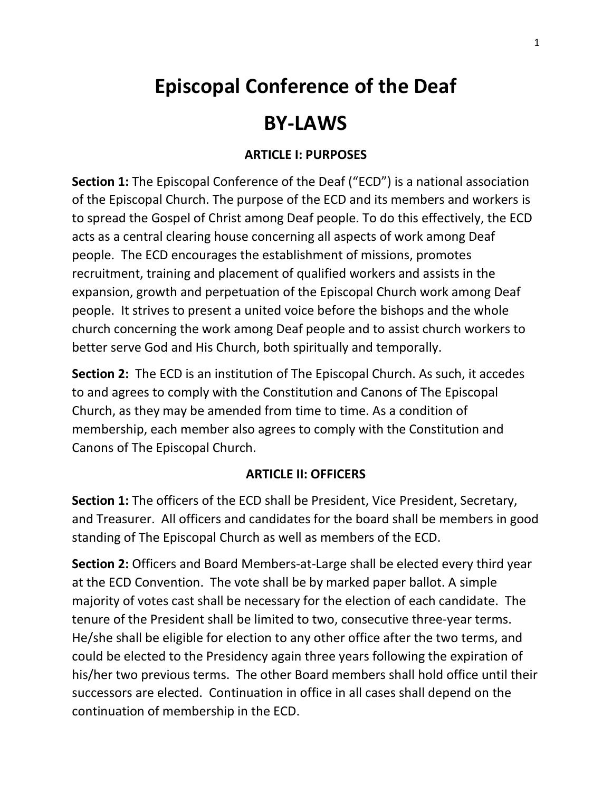# **Episcopal Conference of the Deaf**

## **BY-LAWS**

#### **ARTICLE I: PURPOSES**

**Section 1:** The Episcopal Conference of the Deaf ("ECD") is a national association of the Episcopal Church. The purpose of the ECD and its members and workers is to spread the Gospel of Christ among Deaf people. To do this effectively, the ECD acts as a central clearing house concerning all aspects of work among Deaf people. The ECD encourages the establishment of missions, promotes recruitment, training and placement of qualified workers and assists in the expansion, growth and perpetuation of the Episcopal Church work among Deaf people. It strives to present a united voice before the bishops and the whole church concerning the work among Deaf people and to assist church workers to better serve God and His Church, both spiritually and temporally.

**Section 2:** The ECD is an institution of The Episcopal Church. As such, it accedes to and agrees to comply with the Constitution and Canons of The Episcopal Church, as they may be amended from time to time. As a condition of membership, each member also agrees to comply with the Constitution and Canons of The Episcopal Church.

#### **ARTICLE II: OFFICERS**

**Section 1:** The officers of the ECD shall be President, Vice President, Secretary, and Treasurer. All officers and candidates for the board shall be members in good standing of The Episcopal Church as well as members of the ECD.

**Section 2:** Officers and Board Members-at-Large shall be elected every third year at the ECD Convention. The vote shall be by marked paper ballot. A simple majority of votes cast shall be necessary for the election of each candidate. The tenure of the President shall be limited to two, consecutive three-year terms. He/she shall be eligible for election to any other office after the two terms, and could be elected to the Presidency again three years following the expiration of his/her two previous terms. The other Board members shall hold office until their successors are elected. Continuation in office in all cases shall depend on the continuation of membership in the ECD.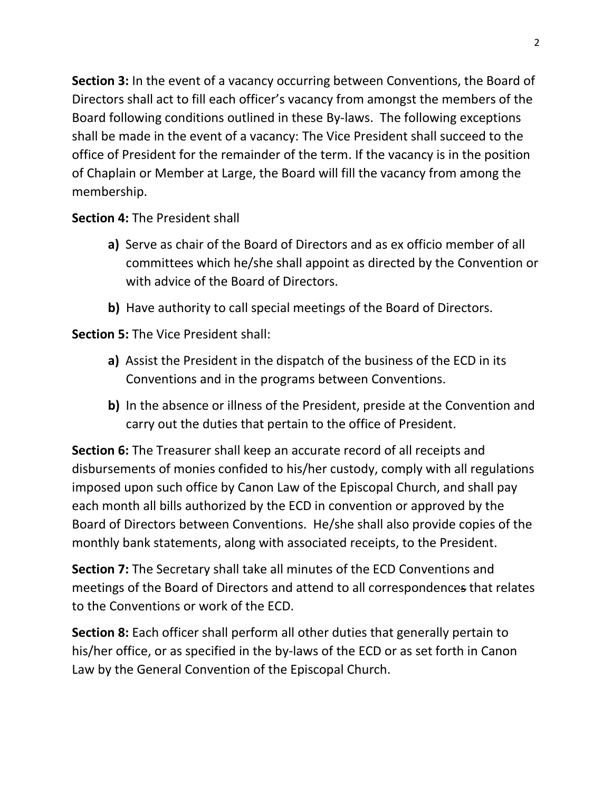**Section 3:** In the event of a vacancy occurring between Conventions, the Board of Directors shall act to fill each officer's vacancy from amongst the members of the Board following conditions outlined in these By-laws. The following exceptions shall be made in the event of a vacancy: The Vice President shall succeed to the office of President for the remainder of the term. If the vacancy is in the position of Chaplain or Member at Large, the Board will fill the vacancy from among the membership.

## **Section 4:** The President shall

- **a)** Serve as chair of the Board of Directors and as ex officio member of all committees which he/she shall appoint as directed by the Convention or with advice of the Board of Directors.
- **b)** Have authority to call special meetings of the Board of Directors.

**Section 5:** The Vice President shall:

- **a)** Assist the President in the dispatch of the business of the ECD in its Conventions and in the programs between Conventions.
- **b)** In the absence or illness of the President, preside at the Convention and carry out the duties that pertain to the office of President.

**Section 6:** The Treasurer shall keep an accurate record of all receipts and disbursements of monies confided to his/her custody, comply with all regulations imposed upon such office by Canon Law of the Episcopal Church, and shall pay each month all bills authorized by the ECD in convention or approved by the Board of Directors between Conventions. He/she shall also provide copies of the monthly bank statements, along with associated receipts, to the President.

**Section 7:** The Secretary shall take all minutes of the ECD Conventions and meetings of the Board of Directors and attend to all correspondences that relates to the Conventions or work of the ECD.

**Section 8:** Each officer shall perform all other duties that generally pertain to his/her office, or as specified in the by-laws of the ECD or as set forth in Canon Law by the General Convention of the Episcopal Church.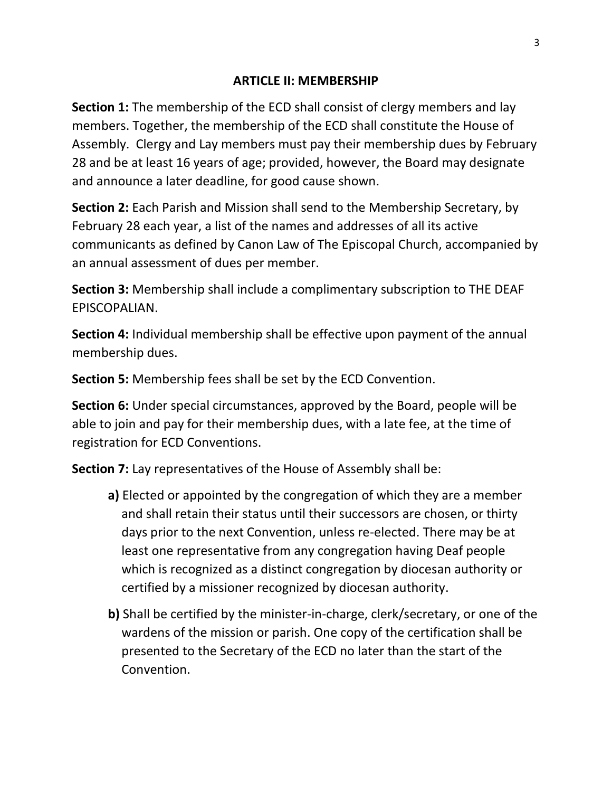#### **ARTICLE II: MEMBERSHIP**

**Section 1:** The membership of the ECD shall consist of clergy members and lay members. Together, the membership of the ECD shall constitute the House of Assembly. Clergy and Lay members must pay their membership dues by February 28 and be at least 16 years of age; provided, however, the Board may designate and announce a later deadline, for good cause shown.

**Section 2:** Each Parish and Mission shall send to the Membership Secretary, by February 28 each year, a list of the names and addresses of all its active communicants as defined by Canon Law of The Episcopal Church, accompanied by an annual assessment of dues per member.

**Section 3:** Membership shall include a complimentary subscription to THE DEAF EPISCOPALIAN.

**Section 4:** Individual membership shall be effective upon payment of the annual membership dues.

**Section 5:** Membership fees shall be set by the ECD Convention.

**Section 6:** Under special circumstances, approved by the Board, people will be able to join and pay for their membership dues, with a late fee, at the time of registration for ECD Conventions.

**Section 7:** Lay representatives of the House of Assembly shall be:

- **a)** Elected or appointed by the congregation of which they are a member and shall retain their status until their successors are chosen, or thirty days prior to the next Convention, unless re-elected. There may be at least one representative from any congregation having Deaf people which is recognized as a distinct congregation by diocesan authority or certified by a missioner recognized by diocesan authority.
- **b)** Shall be certified by the minister-in-charge, clerk/secretary, or one of the wardens of the mission or parish. One copy of the certification shall be presented to the Secretary of the ECD no later than the start of the Convention.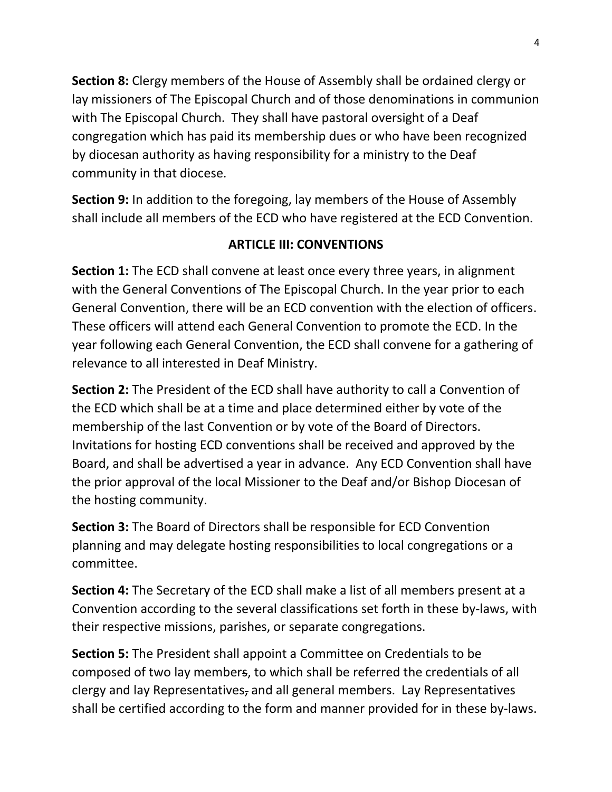**Section 8:** Clergy members of the House of Assembly shall be ordained clergy or lay missioners of The Episcopal Church and of those denominations in communion with The Episcopal Church. They shall have pastoral oversight of a Deaf congregation which has paid its membership dues or who have been recognized by diocesan authority as having responsibility for a ministry to the Deaf community in that diocese.

**Section 9:** In addition to the foregoing, lay members of the House of Assembly shall include all members of the ECD who have registered at the ECD Convention.

## **ARTICLE III: CONVENTIONS**

**Section 1:** The ECD shall convene at least once every three years, in alignment with the General Conventions of The Episcopal Church. In the year prior to each General Convention, there will be an ECD convention with the election of officers. These officers will attend each General Convention to promote the ECD. In the year following each General Convention, the ECD shall convene for a gathering of relevance to all interested in Deaf Ministry.

**Section 2:** The President of the ECD shall have authority to call a Convention of the ECD which shall be at a time and place determined either by vote of the membership of the last Convention or by vote of the Board of Directors. Invitations for hosting ECD conventions shall be received and approved by the Board, and shall be advertised a year in advance. Any ECD Convention shall have the prior approval of the local Missioner to the Deaf and/or Bishop Diocesan of the hosting community.

**Section 3:** The Board of Directors shall be responsible for ECD Convention planning and may delegate hosting responsibilities to local congregations or a committee.

**Section 4:** The Secretary of the ECD shall make a list of all members present at a Convention according to the several classifications set forth in these by-laws, with their respective missions, parishes, or separate congregations.

**Section 5:** The President shall appoint a Committee on Credentials to be composed of two lay members, to which shall be referred the credentials of all clergy and lay Representatives, and all general members. Lay Representatives shall be certified according to the form and manner provided for in these by-laws.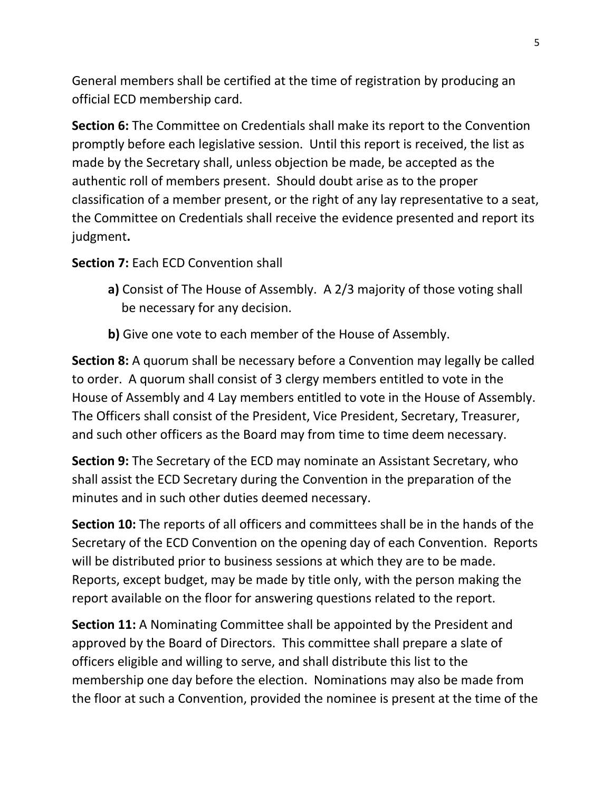General members shall be certified at the time of registration by producing an official ECD membership card.

**Section 6:** The Committee on Credentials shall make its report to the Convention promptly before each legislative session. Until this report is received, the list as made by the Secretary shall, unless objection be made, be accepted as the authentic roll of members present. Should doubt arise as to the proper classification of a member present, or the right of any lay representative to a seat, the Committee on Credentials shall receive the evidence presented and report its judgment**.**

#### **Section 7:** Each ECD Convention shall

- **a)** Consist of The House of Assembly. A 2/3 majority of those voting shall be necessary for any decision.
- **b)** Give one vote to each member of the House of Assembly.

**Section 8:** A quorum shall be necessary before a Convention may legally be called to order. A quorum shall consist of 3 clergy members entitled to vote in the House of Assembly and 4 Lay members entitled to vote in the House of Assembly. The Officers shall consist of the President, Vice President, Secretary, Treasurer, and such other officers as the Board may from time to time deem necessary.

**Section 9:** The Secretary of the ECD may nominate an Assistant Secretary, who shall assist the ECD Secretary during the Convention in the preparation of the minutes and in such other duties deemed necessary.

**Section 10:** The reports of all officers and committees shall be in the hands of the Secretary of the ECD Convention on the opening day of each Convention. Reports will be distributed prior to business sessions at which they are to be made. Reports, except budget, may be made by title only, with the person making the report available on the floor for answering questions related to the report.

**Section 11:** A Nominating Committee shall be appointed by the President and approved by the Board of Directors. This committee shall prepare a slate of officers eligible and willing to serve, and shall distribute this list to the membership one day before the election. Nominations may also be made from the floor at such a Convention, provided the nominee is present at the time of the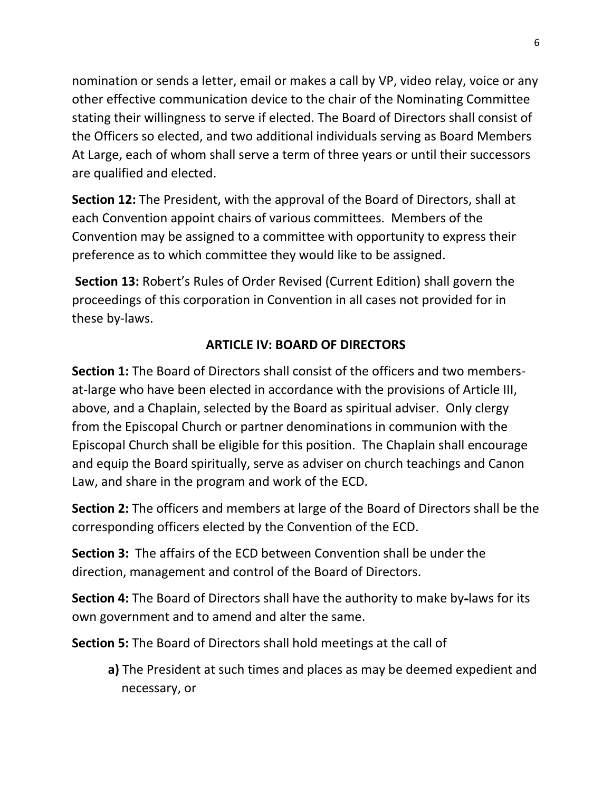nomination or sends a letter, email or makes a call by VP, video relay, voice or any other effective communication device to the chair of the Nominating Committee stating their willingness to serve if elected. The Board of Directors shall consist of the Officers so elected, and two additional individuals serving as Board Members At Large, each of whom shall serve a term of three years or until their successors are qualified and elected.

**Section 12:** The President, with the approval of the Board of Directors, shall at each Convention appoint chairs of various committees. Members of the Convention may be assigned to a committee with opportunity to express their preference as to which committee they would like to be assigned.

**Section 13:** Robert's Rules of Order Revised (Current Edition) shall govern the proceedings of this corporation in Convention in all cases not provided for in these by-laws.

## **ARTICLE IV: BOARD OF DIRECTORS**

**Section 1:** The Board of Directors shall consist of the officers and two membersat-large who have been elected in accordance with the provisions of Article III, above, and a Chaplain, selected by the Board as spiritual adviser. Only clergy from the Episcopal Church or partner denominations in communion with the Episcopal Church shall be eligible for this position. The Chaplain shall encourage and equip the Board spiritually, serve as adviser on church teachings and Canon Law, and share in the program and work of the ECD.

**Section 2:** The officers and members at large of the Board of Directors shall be the corresponding officers elected by the Convention of the ECD.

**Section 3:** The affairs of the ECD between Convention shall be under the direction, management and control of the Board of Directors.

**Section 4:** The Board of Directors shall have the authority to make by-laws for its own government and to amend and alter the same.

**Section 5:** The Board of Directors shall hold meetings at the call of

**a)** The President at such times and places as may be deemed expedient and necessary, or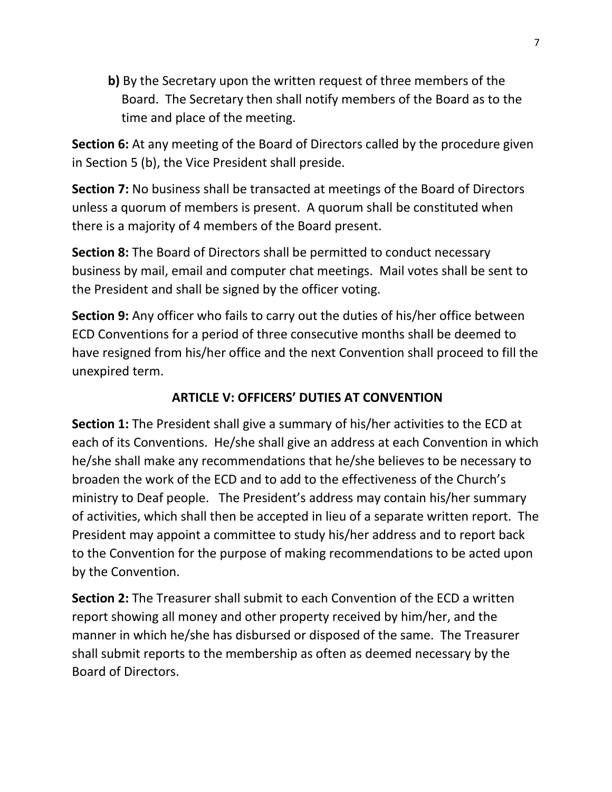**b)** By the Secretary upon the written request of three members of the Board. The Secretary then shall notify members of the Board as to the time and place of the meeting.

**Section 6:** At any meeting of the Board of Directors called by the procedure given in Section 5 (b), the Vice President shall preside.

**Section 7:** No business shall be transacted at meetings of the Board of Directors unless a quorum of members is present. A quorum shall be constituted when there is a majority of 4 members of the Board present.

**Section 8:** The Board of Directors shall be permitted to conduct necessary business by mail, email and computer chat meetings. Mail votes shall be sent to the President and shall be signed by the officer voting.

**Section 9:** Any officer who fails to carry out the duties of his/her office between ECD Conventions for a period of three consecutive months shall be deemed to have resigned from his/her office and the next Convention shall proceed to fill the unexpired term.

## **ARTICLE V: OFFICERS' DUTIES AT CONVENTION**

**Section 1:** The President shall give a summary of his/her activities to the ECD at each of its Conventions. He/she shall give an address at each Convention in which he/she shall make any recommendations that he/she believes to be necessary to broaden the work of the ECD and to add to the effectiveness of the Church's ministry to Deaf people. The President's address may contain his/her summary of activities, which shall then be accepted in lieu of a separate written report. The President may appoint a committee to study his/her address and to report back to the Convention for the purpose of making recommendations to be acted upon by the Convention.

**Section 2:** The Treasurer shall submit to each Convention of the ECD a written report showing all money and other property received by him/her, and the manner in which he/she has disbursed or disposed of the same. The Treasurer shall submit reports to the membership as often as deemed necessary by the Board of Directors.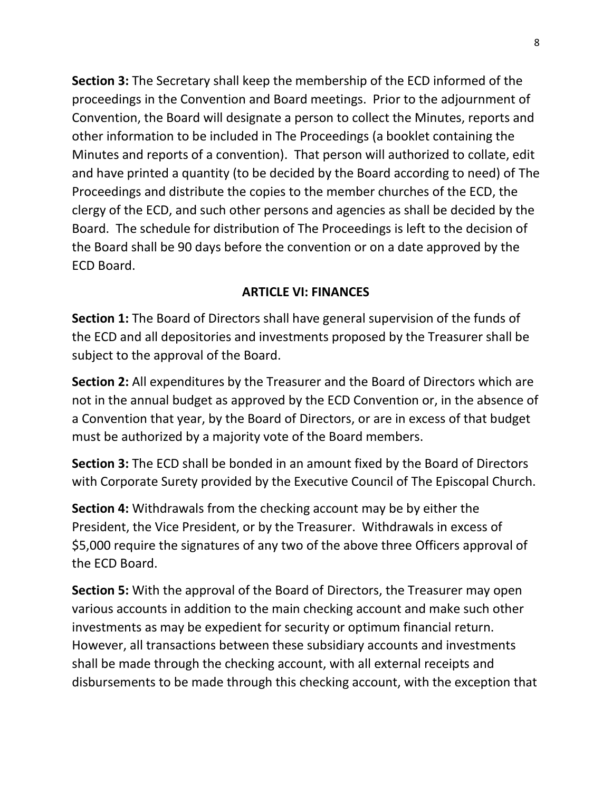**Section 3:** The Secretary shall keep the membership of the ECD informed of the proceedings in the Convention and Board meetings. Prior to the adjournment of Convention, the Board will designate a person to collect the Minutes, reports and other information to be included in The Proceedings (a booklet containing the Minutes and reports of a convention). That person will authorized to collate, edit and have printed a quantity (to be decided by the Board according to need) of The Proceedings and distribute the copies to the member churches of the ECD, the clergy of the ECD, and such other persons and agencies as shall be decided by the Board. The schedule for distribution of The Proceedings is left to the decision of the Board shall be 90 days before the convention or on a date approved by the ECD Board.

## **ARTICLE VI: FINANCES**

**Section 1:** The Board of Directors shall have general supervision of the funds of the ECD and all depositories and investments proposed by the Treasurer shall be subject to the approval of the Board.

**Section 2:** All expenditures by the Treasurer and the Board of Directors which are not in the annual budget as approved by the ECD Convention or, in the absence of a Convention that year, by the Board of Directors, or are in excess of that budget must be authorized by a majority vote of the Board members.

**Section 3:** The ECD shall be bonded in an amount fixed by the Board of Directors with Corporate Surety provided by the Executive Council of The Episcopal Church.

**Section 4:** Withdrawals from the checking account may be by either the President, the Vice President, or by the Treasurer. Withdrawals in excess of \$5,000 require the signatures of any two of the above three Officers approval of the ECD Board.

**Section 5:** With the approval of the Board of Directors, the Treasurer may open various accounts in addition to the main checking account and make such other investments as may be expedient for security or optimum financial return. However, all transactions between these subsidiary accounts and investments shall be made through the checking account, with all external receipts and disbursements to be made through this checking account, with the exception that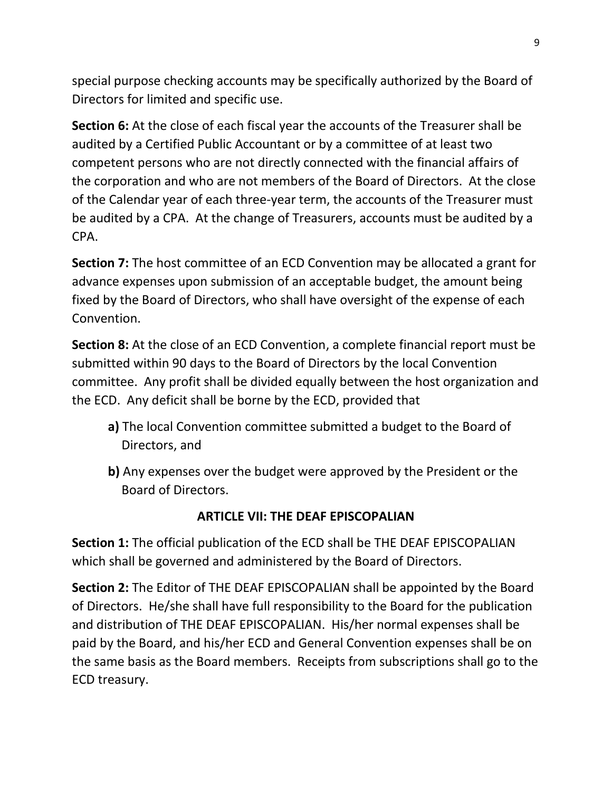special purpose checking accounts may be specifically authorized by the Board of Directors for limited and specific use.

**Section 6:** At the close of each fiscal year the accounts of the Treasurer shall be audited by a Certified Public Accountant or by a committee of at least two competent persons who are not directly connected with the financial affairs of the corporation and who are not members of the Board of Directors. At the close of the Calendar year of each three-year term, the accounts of the Treasurer must be audited by a CPA. At the change of Treasurers, accounts must be audited by a CPA.

**Section 7:** The host committee of an ECD Convention may be allocated a grant for advance expenses upon submission of an acceptable budget, the amount being fixed by the Board of Directors, who shall have oversight of the expense of each Convention.

**Section 8:** At the close of an ECD Convention, a complete financial report must be submitted within 90 days to the Board of Directors by the local Convention committee. Any profit shall be divided equally between the host organization and the ECD. Any deficit shall be borne by the ECD, provided that

- **a)** The local Convention committee submitted a budget to the Board of Directors, and
- **b)** Any expenses over the budget were approved by the President or the Board of Directors.

## **ARTICLE VII: THE DEAF EPISCOPALIAN**

**Section 1:** The official publication of the ECD shall be THE DEAF EPISCOPALIAN which shall be governed and administered by the Board of Directors.

**Section 2:** The Editor of THE DEAF EPISCOPALIAN shall be appointed by the Board of Directors. He/she shall have full responsibility to the Board for the publication and distribution of THE DEAF EPISCOPALIAN. His/her normal expenses shall be paid by the Board, and his/her ECD and General Convention expenses shall be on the same basis as the Board members. Receipts from subscriptions shall go to the ECD treasury.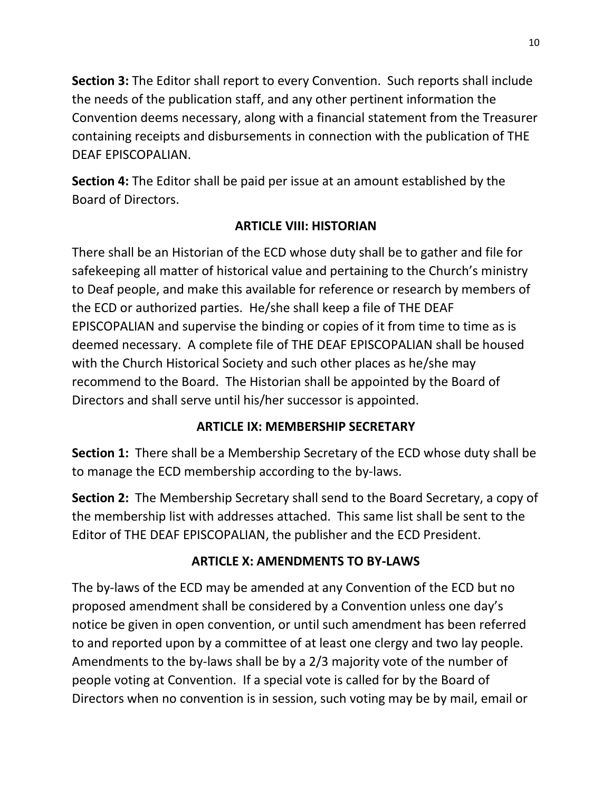**Section 3:** The Editor shall report to every Convention. Such reports shall include the needs of the publication staff, and any other pertinent information the Convention deems necessary, along with a financial statement from the Treasurer containing receipts and disbursements in connection with the publication of THE DEAF EPISCOPALIAN.

**Section 4:** The Editor shall be paid per issue at an amount established by the Board of Directors.

## **ARTICLE VIII: HISTORIAN**

There shall be an Historian of the ECD whose duty shall be to gather and file for safekeeping all matter of historical value and pertaining to the Church's ministry to Deaf people, and make this available for reference or research by members of the ECD or authorized parties. He/she shall keep a file of THE DEAF EPISCOPALIAN and supervise the binding or copies of it from time to time as is deemed necessary. A complete file of THE DEAF EPISCOPALIAN shall be housed with the Church Historical Society and such other places as he/she may recommend to the Board. The Historian shall be appointed by the Board of Directors and shall serve until his/her successor is appointed.

## **ARTICLE IX: MEMBERSHIP SECRETARY**

**Section 1:** There shall be a Membership Secretary of the ECD whose duty shall be to manage the ECD membership according to the by-laws.

**Section 2:** The Membership Secretary shall send to the Board Secretary, a copy of the membership list with addresses attached. This same list shall be sent to the Editor of THE DEAF EPISCOPALIAN, the publisher and the ECD President.

## **ARTICLE X: AMENDMENTS TO BY-LAWS**

The by-laws of the ECD may be amended at any Convention of the ECD but no proposed amendment shall be considered by a Convention unless one day's notice be given in open convention, or until such amendment has been referred to and reported upon by a committee of at least one clergy and two lay people. Amendments to the by-laws shall be by a 2/3 majority vote of the number of people voting at Convention. If a special vote is called for by the Board of Directors when no convention is in session, such voting may be by mail, email or